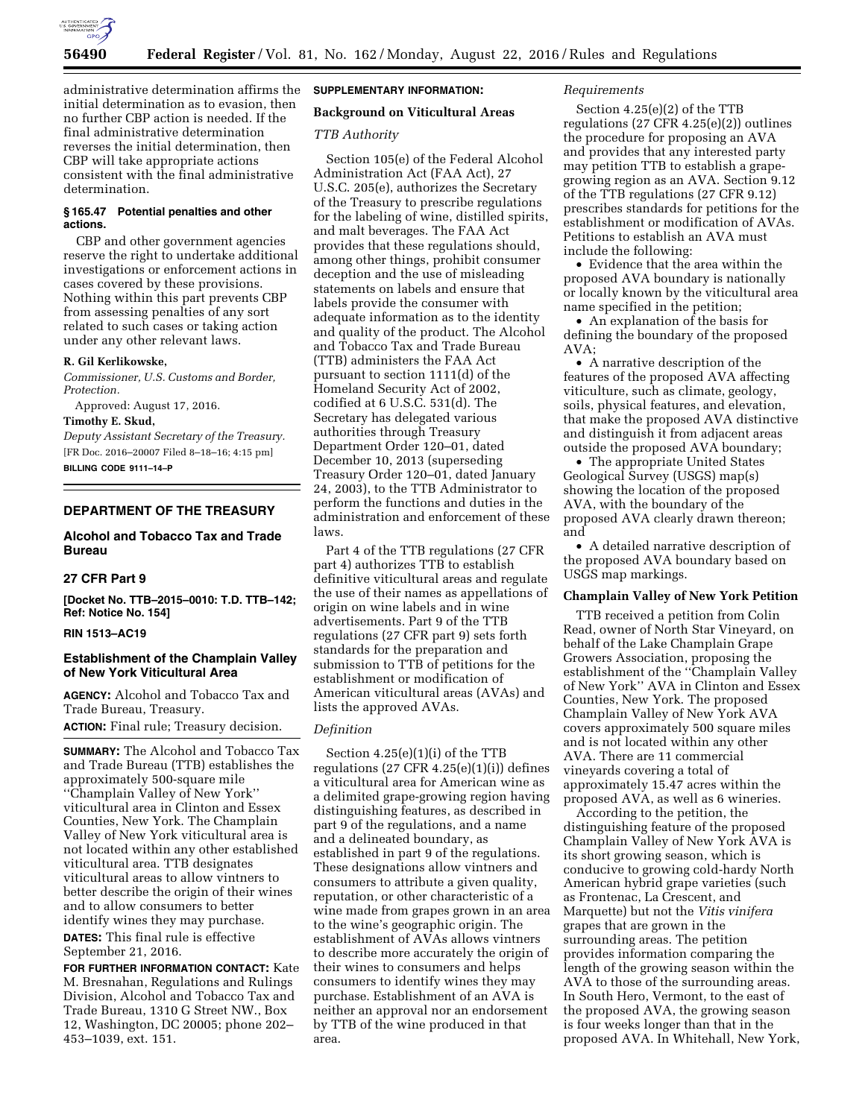

administrative determination affirms the initial determination as to evasion, then no further CBP action is needed. If the final administrative determination reverses the initial determination, then CBP will take appropriate actions consistent with the final administrative determination.

#### **§ 165.47 Potential penalties and other actions.**

CBP and other government agencies reserve the right to undertake additional investigations or enforcement actions in cases covered by these provisions. Nothing within this part prevents CBP from assessing penalties of any sort related to such cases or taking action under any other relevant laws.

#### **R. Gil Kerlikowske,**

*Commissioner, U.S. Customs and Border, Protection.* 

Approved: August 17, 2016. **Timothy E. Skud,** 

*Deputy Assistant Secretary of the Treasury.*  [FR Doc. 2016–20007 Filed 8–18–16; 4:15 pm] **BILLING CODE 9111–14–P** 

# **DEPARTMENT OF THE TREASURY**

# **Alcohol and Tobacco Tax and Trade Bureau**

# **27 CFR Part 9**

**[Docket No. TTB–2015–0010: T.D. TTB–142; Ref: Notice No. 154]** 

## **RIN 1513–AC19**

# **Establishment of the Champlain Valley of New York Viticultural Area**

**AGENCY:** Alcohol and Tobacco Tax and Trade Bureau, Treasury.

**ACTION:** Final rule; Treasury decision.

**SUMMARY:** The Alcohol and Tobacco Tax and Trade Bureau (TTB) establishes the approximately 500-square mile ''Champlain Valley of New York'' viticultural area in Clinton and Essex Counties, New York. The Champlain Valley of New York viticultural area is not located within any other established viticultural area. TTB designates viticultural areas to allow vintners to better describe the origin of their wines and to allow consumers to better identify wines they may purchase.

**DATES:** This final rule is effective September 21, 2016.

**FOR FURTHER INFORMATION CONTACT:** Kate M. Bresnahan, Regulations and Rulings Division, Alcohol and Tobacco Tax and Trade Bureau, 1310 G Street NW., Box 12, Washington, DC 20005; phone 202– 453–1039, ext. 151.

### **SUPPLEMENTARY INFORMATION:**

# **Background on Viticultural Areas**

## *TTB Authority*

Section 105(e) of the Federal Alcohol Administration Act (FAA Act), 27 U.S.C. 205(e), authorizes the Secretary of the Treasury to prescribe regulations for the labeling of wine, distilled spirits, and malt beverages. The FAA Act provides that these regulations should, among other things, prohibit consumer deception and the use of misleading statements on labels and ensure that labels provide the consumer with adequate information as to the identity and quality of the product. The Alcohol and Tobacco Tax and Trade Bureau (TTB) administers the FAA Act pursuant to section 1111(d) of the Homeland Security Act of 2002, codified at 6 U.S.C. 531(d). The Secretary has delegated various authorities through Treasury Department Order 120–01, dated December 10, 2013 (superseding Treasury Order 120–01, dated January 24, 2003), to the TTB Administrator to perform the functions and duties in the administration and enforcement of these laws.

Part 4 of the TTB regulations (27 CFR part 4) authorizes TTB to establish definitive viticultural areas and regulate the use of their names as appellations of origin on wine labels and in wine advertisements. Part 9 of the TTB regulations (27 CFR part 9) sets forth standards for the preparation and submission to TTB of petitions for the establishment or modification of American viticultural areas (AVAs) and lists the approved AVAs.

## *Definition*

Section 4.25(e)(1)(i) of the TTB regulations  $(27 \text{ CFR } 4.25(e)(1)(i))$  defines a viticultural area for American wine as a delimited grape-growing region having distinguishing features, as described in part 9 of the regulations, and a name and a delineated boundary, as established in part 9 of the regulations. These designations allow vintners and consumers to attribute a given quality, reputation, or other characteristic of a wine made from grapes grown in an area to the wine's geographic origin. The establishment of AVAs allows vintners to describe more accurately the origin of their wines to consumers and helps consumers to identify wines they may purchase. Establishment of an AVA is neither an approval nor an endorsement by TTB of the wine produced in that area.

## *Requirements*

Section 4.25(e)(2) of the TTB regulations (27 CFR 4.25(e)(2)) outlines the procedure for proposing an AVA and provides that any interested party may petition TTB to establish a grapegrowing region as an AVA. Section 9.12 of the TTB regulations (27 CFR 9.12) prescribes standards for petitions for the establishment or modification of AVAs. Petitions to establish an AVA must include the following:

• Evidence that the area within the proposed AVA boundary is nationally or locally known by the viticultural area name specified in the petition;

• An explanation of the basis for defining the boundary of the proposed AVA;

• A narrative description of the features of the proposed AVA affecting viticulture, such as climate, geology, soils, physical features, and elevation, that make the proposed AVA distinctive and distinguish it from adjacent areas outside the proposed AVA boundary;

• The appropriate United States Geological Survey (USGS) map(s) showing the location of the proposed AVA, with the boundary of the proposed AVA clearly drawn thereon; and

• A detailed narrative description of the proposed AVA boundary based on USGS map markings.

## **Champlain Valley of New York Petition**

TTB received a petition from Colin Read, owner of North Star Vineyard, on behalf of the Lake Champlain Grape Growers Association, proposing the establishment of the ''Champlain Valley of New York'' AVA in Clinton and Essex Counties, New York. The proposed Champlain Valley of New York AVA covers approximately 500 square miles and is not located within any other AVA. There are 11 commercial vineyards covering a total of approximately 15.47 acres within the proposed AVA, as well as 6 wineries.

According to the petition, the distinguishing feature of the proposed Champlain Valley of New York AVA is its short growing season, which is conducive to growing cold-hardy North American hybrid grape varieties (such as Frontenac, La Crescent, and Marquette) but not the *Vitis vinifera*  grapes that are grown in the surrounding areas. The petition provides information comparing the length of the growing season within the AVA to those of the surrounding areas. In South Hero, Vermont, to the east of the proposed AVA, the growing season is four weeks longer than that in the proposed AVA. In Whitehall, New York,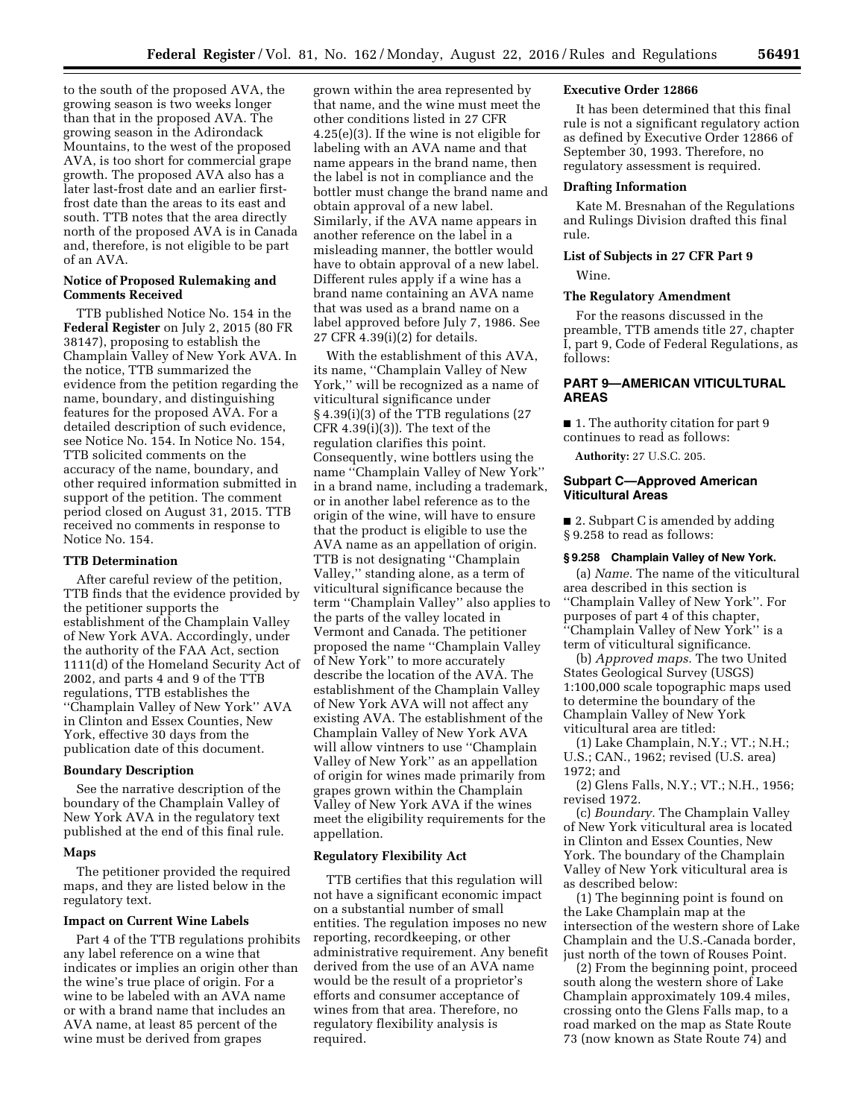to the south of the proposed AVA, the growing season is two weeks longer than that in the proposed AVA. The growing season in the Adirondack Mountains, to the west of the proposed AVA, is too short for commercial grape growth. The proposed AVA also has a later last-frost date and an earlier firstfrost date than the areas to its east and south. TTB notes that the area directly north of the proposed AVA is in Canada and, therefore, is not eligible to be part of an AVA.

## **Notice of Proposed Rulemaking and Comments Received**

TTB published Notice No. 154 in the **Federal Register** on July 2, 2015 (80 FR 38147), proposing to establish the Champlain Valley of New York AVA. In the notice, TTB summarized the evidence from the petition regarding the name, boundary, and distinguishing features for the proposed AVA. For a detailed description of such evidence, see Notice No. 154. In Notice No. 154, TTB solicited comments on the accuracy of the name, boundary, and other required information submitted in support of the petition. The comment period closed on August 31, 2015. TTB received no comments in response to Notice No. 154.

#### **TTB Determination**

After careful review of the petition, TTB finds that the evidence provided by the petitioner supports the establishment of the Champlain Valley of New York AVA. Accordingly, under the authority of the FAA Act, section 1111(d) of the Homeland Security Act of 2002, and parts 4 and 9 of the TTB regulations, TTB establishes the ''Champlain Valley of New York'' AVA in Clinton and Essex Counties, New York, effective 30 days from the publication date of this document.

## **Boundary Description**

See the narrative description of the boundary of the Champlain Valley of New York AVA in the regulatory text published at the end of this final rule.

#### **Maps**

The petitioner provided the required maps, and they are listed below in the regulatory text.

### **Impact on Current Wine Labels**

Part 4 of the TTB regulations prohibits any label reference on a wine that indicates or implies an origin other than the wine's true place of origin. For a wine to be labeled with an AVA name or with a brand name that includes an AVA name, at least 85 percent of the wine must be derived from grapes

grown within the area represented by that name, and the wine must meet the other conditions listed in 27 CFR 4.25(e)(3). If the wine is not eligible for labeling with an AVA name and that name appears in the brand name, then the label is not in compliance and the bottler must change the brand name and obtain approval of a new label. Similarly, if the AVA name appears in another reference on the label in a misleading manner, the bottler would have to obtain approval of a new label. Different rules apply if a wine has a brand name containing an AVA name that was used as a brand name on a label approved before July 7, 1986. See 27 CFR 4.39(i)(2) for details.

With the establishment of this AVA, its name, ''Champlain Valley of New York,'' will be recognized as a name of viticultural significance under § 4.39(i)(3) of the TTB regulations (27  $CFR$  4.39(i)(3)). The text of the regulation clarifies this point. Consequently, wine bottlers using the name ''Champlain Valley of New York'' in a brand name, including a trademark, or in another label reference as to the origin of the wine, will have to ensure that the product is eligible to use the AVA name as an appellation of origin. TTB is not designating ''Champlain Valley,'' standing alone, as a term of viticultural significance because the term ''Champlain Valley'' also applies to the parts of the valley located in Vermont and Canada. The petitioner proposed the name ''Champlain Valley of New York'' to more accurately describe the location of the AVA. The establishment of the Champlain Valley of New York AVA will not affect any existing AVA. The establishment of the Champlain Valley of New York AVA will allow vintners to use ''Champlain Valley of New York'' as an appellation of origin for wines made primarily from grapes grown within the Champlain Valley of New York AVA if the wines meet the eligibility requirements for the appellation.

#### **Regulatory Flexibility Act**

TTB certifies that this regulation will not have a significant economic impact on a substantial number of small entities. The regulation imposes no new reporting, recordkeeping, or other administrative requirement. Any benefit derived from the use of an AVA name would be the result of a proprietor's efforts and consumer acceptance of wines from that area. Therefore, no regulatory flexibility analysis is required.

## **Executive Order 12866**

It has been determined that this final rule is not a significant regulatory action as defined by Executive Order 12866 of September 30, 1993. Therefore, no regulatory assessment is required.

## **Drafting Information**

Kate M. Bresnahan of the Regulations and Rulings Division drafted this final rule.

# **List of Subjects in 27 CFR Part 9**  Wine.

#### **The Regulatory Amendment**

For the reasons discussed in the preamble, TTB amends title 27, chapter I, part 9, Code of Federal Regulations, as follows:

# **PART 9—AMERICAN VITICULTURAL AREAS**

■ 1. The authority citation for part 9 continues to read as follows:

**Authority:** 27 U.S.C. 205.

## **Subpart C—Approved American Viticultural Areas**

■ 2. Subpart C is amended by adding § 9.258 to read as follows:

#### **§ 9.258 Champlain Valley of New York.**

(a) *Name.* The name of the viticultural area described in this section is ''Champlain Valley of New York''. For purposes of part 4 of this chapter, ''Champlain Valley of New York'' is a term of viticultural significance.

(b) *Approved maps.* The two United States Geological Survey (USGS) 1:100,000 scale topographic maps used to determine the boundary of the Champlain Valley of New York viticultural area are titled:

(1) Lake Champlain, N.Y.; VT.; N.H.; U.S.; CAN., 1962; revised (U.S. area) 1972; and

(2) Glens Falls, N.Y.; VT.; N.H., 1956; revised 1972.

(c) *Boundary.* The Champlain Valley of New York viticultural area is located in Clinton and Essex Counties, New York. The boundary of the Champlain Valley of New York viticultural area is as described below:

(1) The beginning point is found on the Lake Champlain map at the intersection of the western shore of Lake Champlain and the U.S.-Canada border, just north of the town of Rouses Point.

(2) From the beginning point, proceed south along the western shore of Lake Champlain approximately 109.4 miles, crossing onto the Glens Falls map, to a road marked on the map as State Route 73 (now known as State Route 74) and